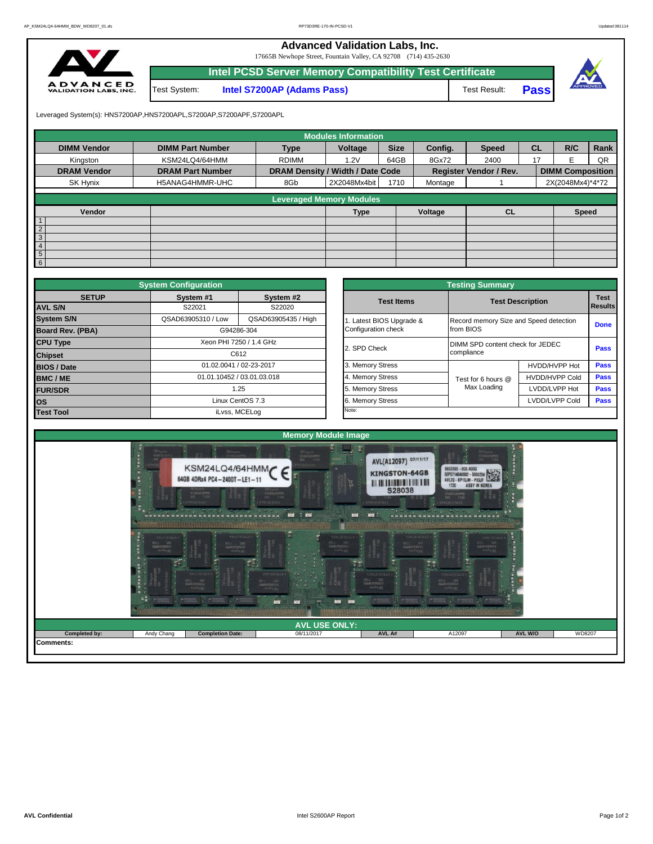**Advanced Validation Labs, Inc.** 

17665B Newhope Street, Fountain Valley, CA 92708 (714) 435-2630



|              | Intel PCSD Server Memory Compatibility Test Certificate |              |       |  |
|--------------|---------------------------------------------------------|--------------|-------|--|
| Test System: | <b>Intel S7200AP (Adams Pass)</b>                       | Test Result: | Passl |  |

Leveraged System(s): HNS7200AP,HNS7200APL,S7200AP,S7200APF,S7200APL

|                    |                         |                                  | <b>Modules Information</b>      |             |         | <b>CL</b><br><b>Speed</b><br>2400<br>17<br><b>Register Vendor / Rev.</b> |  |                         |      |
|--------------------|-------------------------|----------------------------------|---------------------------------|-------------|---------|--------------------------------------------------------------------------|--|-------------------------|------|
| <b>DIMM Vendor</b> | <b>DIMM Part Number</b> | <b>Type</b>                      | Voltage                         | <b>Size</b> | Config. |                                                                          |  | R/C                     | Rank |
| Kingston           | KSM24LQ4/64HMM          | <b>RDIMM</b>                     | 1.2V                            | 64GB        | 8Gx72   |                                                                          |  |                         | QR   |
| <b>DRAM Vendor</b> | <b>DRAM Part Number</b> | DRAM Density / Width / Date Code |                                 |             |         |                                                                          |  | <b>DIMM Composition</b> |      |
| SK Hynix           | H5ANAG4HMMR-UHC         | 8Gb                              | 2X2048Mx4bit                    | 1710        | Montage |                                                                          |  | 2X(2048Mx4)*4*72        |      |
|                    |                         |                                  | <b>Leveraged Memory Modules</b> |             |         |                                                                          |  |                         |      |
|                    |                         |                                  |                                 |             |         |                                                                          |  |                         |      |
| Vendor             |                         |                                  | Type                            |             | Voltage | CL                                                                       |  | <b>Speed</b>            |      |
| $\overline{1}$     |                         |                                  |                                 |             |         |                                                                          |  |                         |      |
| $\overline{2}$     |                         |                                  |                                 |             |         |                                                                          |  |                         |      |
| $\overline{3}$     |                         |                                  |                                 |             |         |                                                                          |  |                         |      |
| $\overline{4}$     |                         |                                  |                                 |             |         |                                                                          |  |                         |      |
| $5\overline{)}$    |                         |                                  |                                 |             |         |                                                                          |  |                         |      |
| 6                  |                         |                                  |                                 |             |         |                                                                          |  |                         |      |

|                                   | <b>System Configuration</b>               |                            |       |                       | <b>Testing Summary</b>                 |                         |             |  |  |
|-----------------------------------|-------------------------------------------|----------------------------|-------|-----------------------|----------------------------------------|-------------------------|-------------|--|--|
| <b>SETUP</b>                      | System #1                                 | System #2                  |       | <b>Test Items</b>     |                                        |                         | <b>Test</b> |  |  |
| <b>AVL S/N</b>                    | S22021                                    | S22020                     |       |                       |                                        | <b>Test Description</b> |             |  |  |
| <b>System S/N</b>                 | QSAD63905310 / Low<br>QSAD63905435 / High |                            |       | Latest BIOS Upgrade & | Record memory Size and Speed detection |                         | <b>Done</b> |  |  |
| <b>Board Rev. (PBA)</b>           | G94286-304                                |                            |       | Configuration check   | from BIOS                              |                         |             |  |  |
| <b>CPU Type</b>                   |                                           | Xeon PHI 7250 / 1.4 GHz    |       | 2. SPD Check          | DIMM SPD content check for JEDEC       |                         | Pass        |  |  |
| <b>Chipset</b>                    |                                           | C612                       |       |                       | compliance                             |                         |             |  |  |
| <b>BIOS / Date</b>                | 01.02.0041 / 02-23-2017                   |                            |       | 3. Memory Stress      |                                        | HVDD/HVPP Hot           | <b>Pass</b> |  |  |
| <b>BMC/ME</b>                     |                                           | 01.01.10452 / 03.01.03.018 |       | 4. Memory Stress      | Test for 6 hours @                     | <b>HVDD/HVPP Cold</b>   | <b>Pass</b> |  |  |
| <b>FUR/SDR</b>                    |                                           | 1.25                       |       | 5. Memory Stress      | Max Loading                            | LVDD/LVPP Hot           | Pass        |  |  |
| <b>los</b>                        |                                           | Linux CentOS 7.3           |       | 6. Memory Stress      |                                        | LVDD/LVPP Cold          | <b>Pass</b> |  |  |
| <b>Test Tool</b><br>iLvss, MCELog |                                           |                            | Note: |                       |                                        |                         |             |  |  |

|              | <b>System Configuration</b> |                            |                       | <b>Testing Summary</b>                 |                         |                               |  |  |  |  |
|--------------|-----------------------------|----------------------------|-----------------------|----------------------------------------|-------------------------|-------------------------------|--|--|--|--|
| <b>SETUP</b> | System #1<br>S22021         | System #2<br>S22020        | <b>Test Items</b>     |                                        | <b>Test Description</b> | <b>Test</b><br><b>Results</b> |  |  |  |  |
|              | QSAD63905310 / Low          | QSAD63905435 / High        | Latest BIOS Upgrade & | Record memory Size and Speed detection |                         |                               |  |  |  |  |
| PBA)         |                             | G94286-304                 | Configuration check   | from BIOS                              |                         | <b>Done</b>                   |  |  |  |  |
|              |                             | Xeon PHI 7250 / 1.4 GHz    | 2. SPD Check          | DIMM SPD content check for JEDEC       | Pass                    |                               |  |  |  |  |
|              |                             | C612                       |                       | compliance                             |                         |                               |  |  |  |  |
|              |                             | 01.02.0041 / 02-23-2017    | 3. Memory Stress      |                                        | HVDD/HVPP Hot           | Pass                          |  |  |  |  |
|              |                             | 01.01.10452 / 03.01.03.018 | 4. Memory Stress      | Test for 6 hours @                     | <b>HVDD/HVPP Cold</b>   | Pass                          |  |  |  |  |
|              |                             | 1.25                       | 5. Memory Stress      | Max Loading                            | LVDD/LVPP Hot           | Pass                          |  |  |  |  |
|              |                             | Linux CentOS 7.3           | 6. Memory Stress      |                                        | LVDD/LVPP Cold          | Pass                          |  |  |  |  |
|              |                             | iLvss, MCELog              | Note:                 |                                        |                         |                               |  |  |  |  |